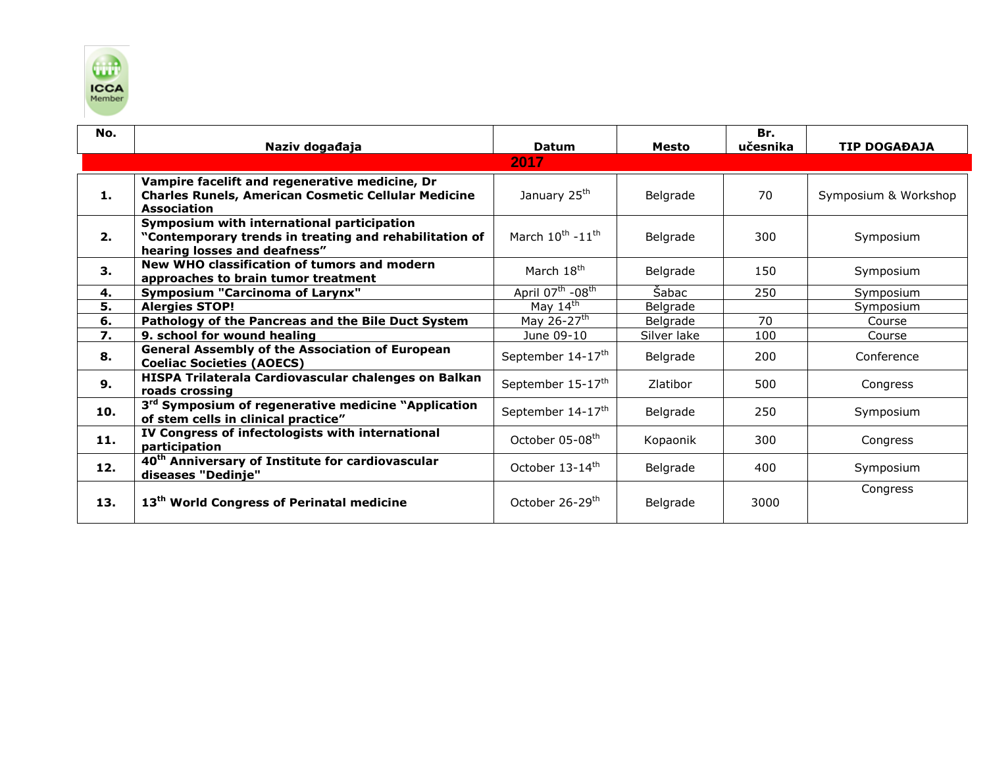

| No. | Naziv događaja                                                                                                                       | <b>Datum</b>                             | Mesto       | Br.<br>učesnika | <b>TIP DOGAĐAJA</b>  |
|-----|--------------------------------------------------------------------------------------------------------------------------------------|------------------------------------------|-------------|-----------------|----------------------|
|     |                                                                                                                                      | 2017                                     |             |                 |                      |
| 1.  | Vampire facelift and regenerative medicine, Dr<br><b>Charles Runels, American Cosmetic Cellular Medicine</b><br><b>Association</b>   | January 25 <sup>th</sup>                 | Belgrade    | 70              | Symposium & Workshop |
| 2.  | Symposium with international participation<br>"Contemporary trends in treating and rehabilitation of<br>hearing losses and deafness" | March 10th -11th                         | Belgrade    | 300             | Symposium            |
| 3.  | New WHO classification of tumors and modern<br>approaches to brain tumor treatment                                                   | March 18 <sup>th</sup>                   | Belgrade    | 150             | Symposium            |
| 4.  | <b>Symposium "Carcinoma of Larynx"</b>                                                                                               | April 07 <sup>th</sup> -08 <sup>th</sup> | Šabac       | 250             | Symposium            |
| 5.  | <b>Alergies STOP!</b>                                                                                                                | May $14th$                               | Belgrade    |                 | Symposium            |
| 6.  | Pathology of the Pancreas and the Bile Duct System                                                                                   | May 26-27 <sup>th</sup>                  | Belgrade    | 70              | Course               |
| 7.  | 9. school for wound healing                                                                                                          | June 09-10                               | Silver lake | 100             | Course               |
| 8.  | <b>General Assembly of the Association of European</b><br><b>Coeliac Societies (AOECS)</b>                                           | September 14-17 <sup>th</sup>            | Belgrade    | 200             | Conference           |
| 9.  | HISPA Trilaterala Cardiovascular chalenges on Balkan<br>roads crossing                                                               | September 15-17 <sup>th</sup>            | Zlatibor    | 500             | Congress             |
| 10. | 3 <sup>rd</sup> Symposium of regenerative medicine "Application<br>of stem cells in clinical practice"                               | September 14-17 <sup>th</sup>            | Belgrade    | 250             | Symposium            |
| 11. | IV Congress of infectologists with international<br>participation                                                                    | October 05-08 <sup>th</sup>              | Kopaonik    | 300             | Congress             |
| 12. | 40 <sup>th</sup> Anniversary of Institute for cardiovascular<br>diseases "Dedinje"                                                   | October 13-14th                          | Belgrade    | 400             | Symposium            |
| 13. | 13 <sup>th</sup> World Congress of Perinatal medicine                                                                                | October 26-29 <sup>th</sup>              | Belgrade    | 3000            | Congress             |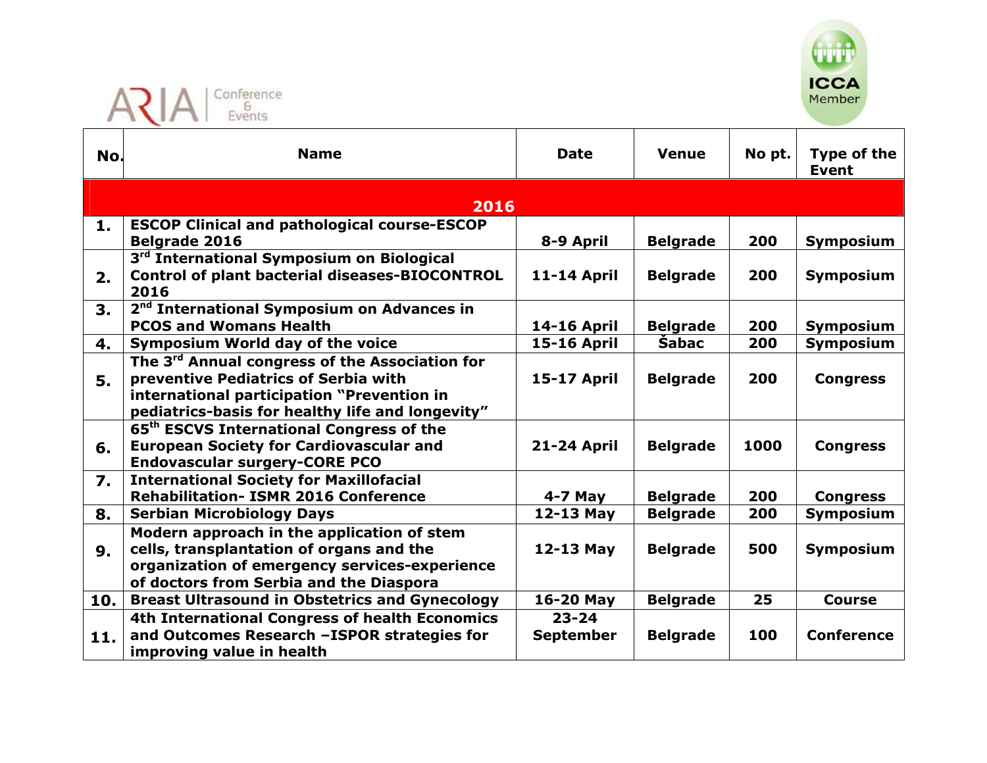



| No.              | <b>Name</b>                                                                                                                                                                                          | <b>Date</b>                   | <b>Venue</b>    | No pt. | Type of the<br><b>Event</b> |
|------------------|------------------------------------------------------------------------------------------------------------------------------------------------------------------------------------------------------|-------------------------------|-----------------|--------|-----------------------------|
|                  | 2016                                                                                                                                                                                                 |                               |                 |        |                             |
| 1.               | <b>ESCOP Clinical and pathological course-ESCOP</b><br>Belgrade 2016                                                                                                                                 | 8-9 April                     | <b>Belgrade</b> | 200    | Symposium                   |
| 2.               | 3 <sup>rd</sup> International Symposium on Biological<br><b>Control of plant bacterial diseases-BIOCONTROL</b><br>2016                                                                               | <b>11-14 April</b>            | <b>Belgrade</b> | 200    | Symposium                   |
| 3.               | 2 <sup>nd</sup> International Symposium on Advances in<br><b>PCOS and Womans Health</b>                                                                                                              | <b>14-16 April</b>            | <b>Belgrade</b> | 200    | Symposium                   |
| 4.               | <b>Symposium World day of the voice</b>                                                                                                                                                              | <b>15-16 April</b>            | Šabac           | 200    | <b>Symposium</b>            |
| 5.               | The 3 <sup>rd</sup> Annual congress of the Association for<br>preventive Pediatrics of Serbia with<br>international participation "Prevention in<br>pediatrics-basis for healthy life and longevity" | <b>15-17 April</b>            | <b>Belgrade</b> | 200    | <b>Congress</b>             |
| 6.               | 65 <sup>th</sup> ESCVS International Congress of the<br><b>European Society for Cardiovascular and</b><br><b>Endovascular surgery-CORE PCO</b>                                                       | <b>21-24 April</b>            | <b>Belgrade</b> | 1000   | <b>Congress</b>             |
| $\overline{7}$ . | <b>International Society for Maxillofacial</b><br><b>Rehabilitation- ISMR 2016 Conference</b>                                                                                                        | $4-7$ May                     | <b>Belgrade</b> | 200    | <b>Congress</b>             |
| 8.               | <b>Serbian Microbiology Days</b>                                                                                                                                                                     | 12-13 May                     | <b>Belgrade</b> | 200    | <b>Symposium</b>            |
| 9.               | Modern approach in the application of stem<br>cells, transplantation of organs and the<br>organization of emergency services-experience<br>of doctors from Serbia and the Diaspora                   | 12-13 May                     | <b>Belgrade</b> | 500    | Symposium                   |
| 10.              | <b>Breast Ultrasound in Obstetrics and Gynecology</b>                                                                                                                                                | 16-20 May                     | <b>Belgrade</b> | 25     | <b>Course</b>               |
| 11.              | 4th International Congress of health Economics<br>and Outcomes Research -ISPOR strategies for<br>improving value in health                                                                           | $23 - 24$<br><b>September</b> | <b>Belgrade</b> | 100    | <b>Conference</b>           |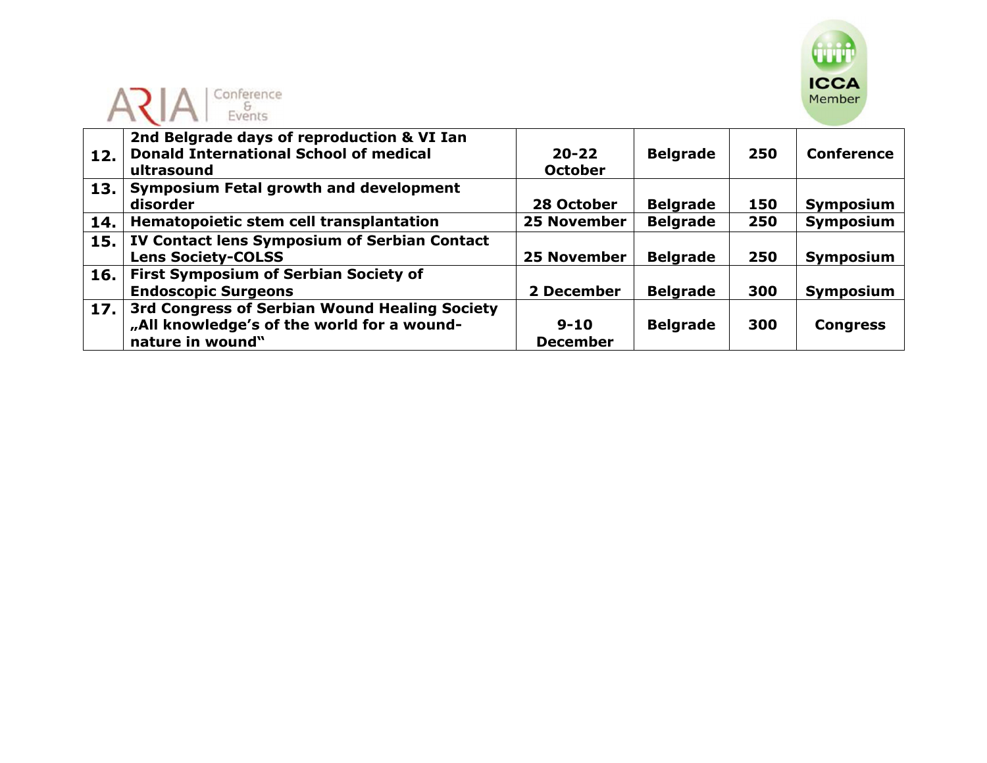



| 12. | 2nd Belgrade days of reproduction & VI Ian<br><b>Donald International School of medical</b><br>ultrasound | $20 - 22$<br><b>October</b> | <b>Belgrade</b> | 250 | <b>Conference</b> |
|-----|-----------------------------------------------------------------------------------------------------------|-----------------------------|-----------------|-----|-------------------|
| 13. | <b>Symposium Fetal growth and development</b>                                                             |                             |                 |     |                   |
|     | disorder                                                                                                  | 28 October                  | <b>Belgrade</b> | 150 | Symposium         |
| 14. | Hematopoietic stem cell transplantation                                                                   | <b>25 November</b>          | <b>Belgrade</b> | 250 | Symposium         |
| 15. | IV Contact lens Symposium of Serbian Contact                                                              |                             |                 |     |                   |
|     | <b>Lens Society-COLSS</b>                                                                                 | <b>25 November</b>          | <b>Belgrade</b> | 250 | Symposium         |
| 16. | <b>First Symposium of Serbian Society of</b>                                                              |                             |                 |     |                   |
|     | <b>Endoscopic Surgeons</b>                                                                                | 2 December                  | <b>Belgrade</b> | 300 | Symposium         |
| 17. | 3rd Congress of Serbian Wound Healing Society                                                             |                             |                 |     |                   |
|     | "All knowledge's of the world for a wound-                                                                | $9 - 10$                    | <b>Belgrade</b> | 300 | <b>Congress</b>   |
|     | nature in wound"                                                                                          | <b>December</b>             |                 |     |                   |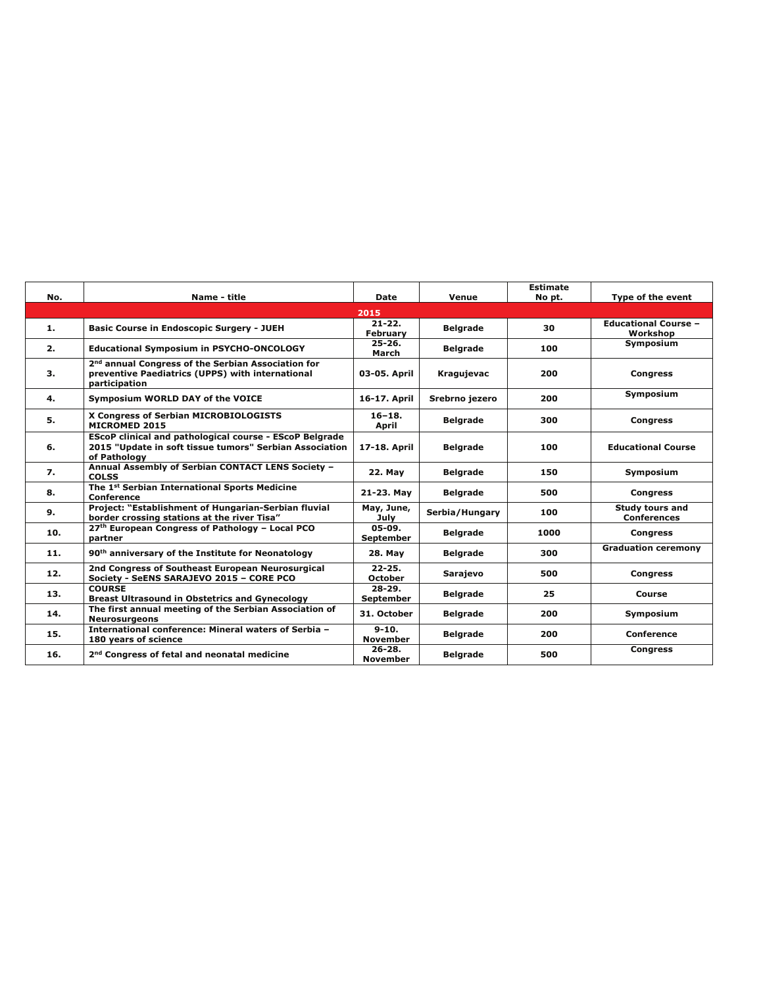|     |                                                                                                                                           |                                |                 | <b>Estimate</b> |                                              |
|-----|-------------------------------------------------------------------------------------------------------------------------------------------|--------------------------------|-----------------|-----------------|----------------------------------------------|
| No. | Name - title                                                                                                                              | Date                           | Venue           | No pt.          | Type of the event                            |
|     |                                                                                                                                           | 2015                           |                 |                 |                                              |
| 1.  | <b>Basic Course in Endoscopic Surgery - JUEH</b>                                                                                          | $21 - 22$ .<br><b>February</b> | <b>Belgrade</b> | 30              | <b>Educational Course -</b><br>Workshop      |
| 2.  | <b>Educational Symposium in PSYCHO-ONCOLOGY</b>                                                                                           | $25 - 26.$<br>March            | <b>Belarade</b> | 100             | Symposium                                    |
| 3.  | 2 <sup>nd</sup> annual Congress of the Serbian Association for<br>preventive Paediatrics (UPPS) with international<br>participation       | 03-05. April                   | Kragujevac      | 200             | <b>Congress</b>                              |
| 4.  | Symposium WORLD DAY of the VOICE                                                                                                          | 16-17. April                   | Srebrno jezero  | 200             | Symposium                                    |
| 5.  | X Congress of Serbian MICROBIOLOGISTS<br>MICROMED 2015                                                                                    | $16 - 18.$<br>April            | <b>Belgrade</b> | 300             | <b>Congress</b>                              |
| 6.  | <b>EScoP clinical and pathological course - EScoP Belgrade</b><br>2015 "Update in soft tissue tumors" Serbian Association<br>of Pathology | 17-18. April                   | <b>Belgrade</b> | 100             | <b>Educational Course</b>                    |
| 7.  | Annual Assembly of Serbian CONTACT LENS Society -<br><b>COLSS</b>                                                                         | 22. May                        | <b>Belgrade</b> | 150             | Symposium                                    |
| 8.  | The 1 <sup>st</sup> Serbian International Sports Medicine<br>Conference                                                                   | 21-23. May                     | <b>Belgrade</b> | 500             | <b>Congress</b>                              |
| 9.  | Project: "Establishment of Hungarian-Serbian fluvial<br>border crossing stations at the river Tisa"                                       | May, June,<br>July             | Serbia/Hungary  | 100             | <b>Study tours and</b><br><b>Conferences</b> |
| 10. | 27th European Congress of Pathology - Local PCO<br>partner                                                                                | 05-09.<br>September            | <b>Belgrade</b> | 1000            | <b>Congress</b>                              |
| 11. | 90 <sup>th</sup> anniversary of the Institute for Neonatology                                                                             | 28. May                        | <b>Belgrade</b> | 300             | <b>Graduation ceremony</b>                   |
| 12. | 2nd Congress of Southeast European Neurosurgical<br>Society - SeENS SARAJEVO 2015 - CORE PCO                                              | $22 - 25.$<br>October          | <b>Sarajevo</b> | 500             | <b>Congress</b>                              |
| 13. | <b>COURSE</b><br><b>Breast Ultrasound in Obstetrics and Gynecology</b>                                                                    | $28-29.$<br><b>September</b>   | <b>Belgrade</b> | 25              | Course                                       |
| 14. | The first annual meeting of the Serbian Association of<br><b>Neurosurgeons</b>                                                            | 31. October                    | <b>Belgrade</b> | 200             | Symposium                                    |
| 15. | International conference: Mineral waters of Serbia -<br>180 years of science                                                              | $9 - 10.$<br><b>November</b>   | <b>Belgrade</b> | 200             | Conference                                   |
| 16. | 2 <sup>nd</sup> Congress of fetal and neonatal medicine                                                                                   | $26 - 28.$<br><b>November</b>  | <b>Belgrade</b> | 500             | <b>Congress</b>                              |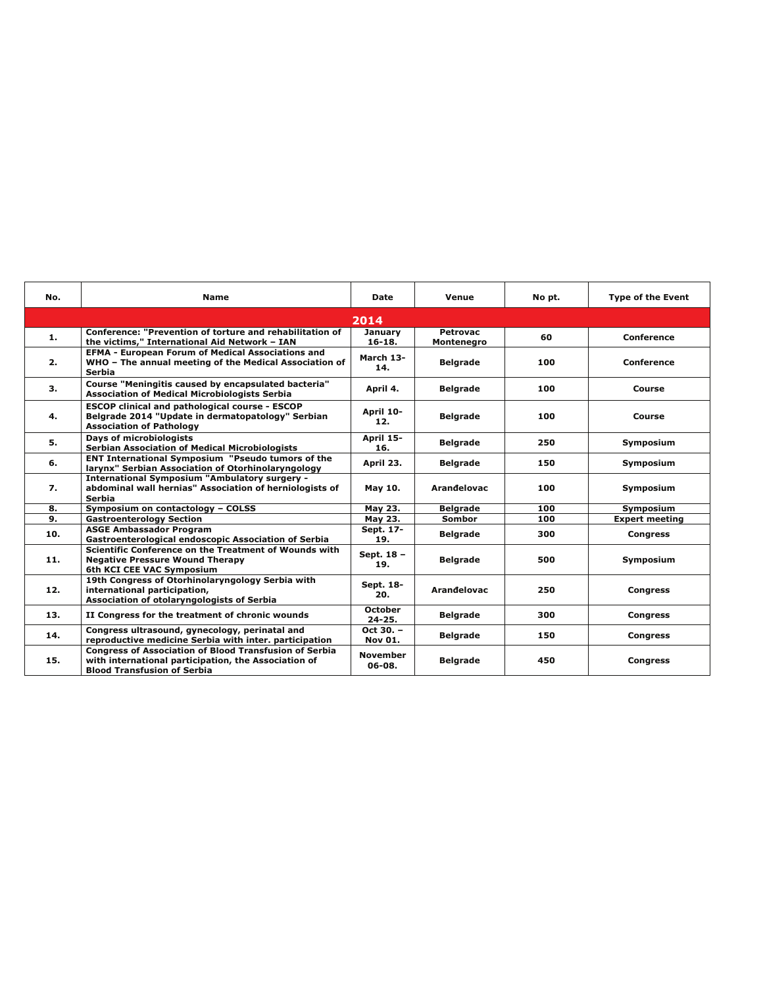| No. | <b>Name</b>                                                                                                                                                 | <b>Date</b>                 | Venue                         | No pt. | <b>Type of the Event</b> |
|-----|-------------------------------------------------------------------------------------------------------------------------------------------------------------|-----------------------------|-------------------------------|--------|--------------------------|
|     |                                                                                                                                                             | 2014                        |                               |        |                          |
| 1.  | Conference: "Prevention of torture and rehabilitation of<br>the victims," International Aid Network - IAN                                                   | January<br>$16-18.$         | <b>Petrovac</b><br>Montenegro | 60     | Conference               |
| 2.  | <b>EFMA - European Forum of Medical Associations and</b><br>WHO - The annual meeting of the Medical Association of<br><b>Serbia</b>                         | March 13-<br>14.            | <b>Belgrade</b>               | 100    | Conference               |
| 3.  | Course "Meningitis caused by encapsulated bacteria"<br><b>Association of Medical Microbiologists Serbia</b>                                                 | April 4.                    | <b>Belgrade</b>               | 100    | Course                   |
| 4.  | <b>ESCOP clinical and pathological course - ESCOP</b><br>Belgrade 2014 "Update in dermatopatology" Serbian<br><b>Association of Pathology</b>               | April 10-<br>12.            | <b>Belgrade</b>               | 100    | Course                   |
| 5.  | <b>Days of microbiologists</b><br><b>Serbian Association of Medical Microbiologists</b>                                                                     | April 15-<br>16.            | <b>Belgrade</b>               | 250    | Symposium                |
| 6.  | <b>ENT International Symposium "Pseudo tumors of the</b><br>larynx" Serbian Association of Otorhinolaryngology                                              | April 23.                   | <b>Belgrade</b>               | 150    | Symposium                |
| 7.  | <b>International Symposium "Ambulatory surgery -</b><br>abdominal wall hernias" Association of herniologists of<br><b>Serbia</b>                            | May 10.                     | Arandelovac                   | 100    | Symposium                |
| 8.  | Symposium on contactology - COLSS                                                                                                                           | May 23.                     | <b>Belgrade</b>               | 100    | Symposium                |
| 9.  | <b>Gastroenterology Section</b>                                                                                                                             | May 23.                     | <b>Sombor</b>                 | 100    | <b>Expert meeting</b>    |
| 10. | <b>ASGE Ambassador Program</b><br>Gastroenterological endoscopic Association of Serbia                                                                      | Sept. 17-<br>19.            | <b>Belgrade</b>               | 300    | <b>Congress</b>          |
| 11. | Scientific Conference on the Treatment of Wounds with<br><b>Negative Pressure Wound Therapy</b><br>6th KCI CEE VAC Symposium                                | Sept. 18 -<br>19.           | <b>Belgrade</b>               | 500    | Symposium                |
| 12. | 19th Congress of Otorhinolaryngology Serbia with<br>international participation,<br>Association of otolaryngologists of Serbia                              | Sept. 18-<br>20.            | Arandelovac                   | 250    | <b>Congress</b>          |
| 13. | II Congress for the treatment of chronic wounds                                                                                                             | October<br>$24 - 25.$       | <b>Belgrade</b>               | 300    | <b>Congress</b>          |
| 14. | Congress ultrasound, gynecology, perinatal and<br>reproductive medicine Serbia with inter. participation                                                    | Oct 30. -<br><b>Nov 01.</b> | <b>Belgrade</b>               | 150    | <b>Congress</b>          |
| 15. | <b>Congress of Association of Blood Transfusion of Serbia</b><br>with international participation, the Association of<br><b>Blood Transfusion of Serbia</b> | November<br>06-08.          | <b>Belgrade</b>               | 450    | <b>Congress</b>          |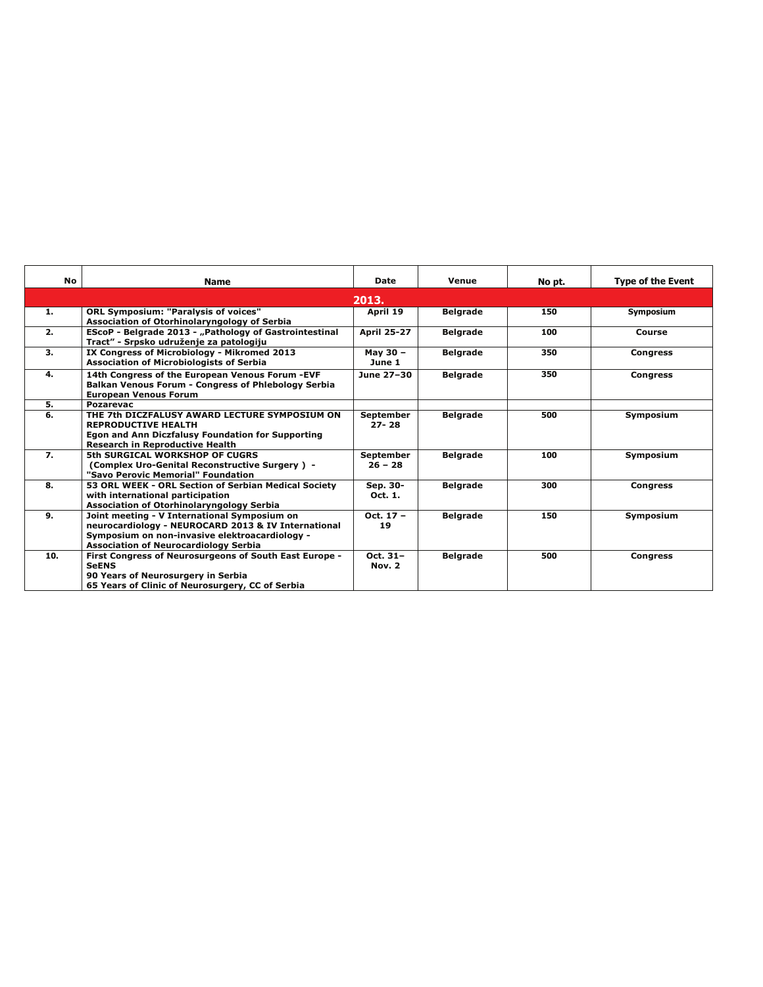| <b>No</b>      | Name                                                                                                                                                                                                  | Date                          | Venue           | No pt. | <b>Type of the Event</b> |
|----------------|-------------------------------------------------------------------------------------------------------------------------------------------------------------------------------------------------------|-------------------------------|-----------------|--------|--------------------------|
|                |                                                                                                                                                                                                       | 2013.                         |                 |        |                          |
| 1.             | <b>ORL Symposium: "Paralysis of voices"</b><br>Association of Otorhinolaryngology of Serbia                                                                                                           | April 19                      | <b>Belgrade</b> | 150    | Symposium                |
| 2.             | EScoP - Belgrade 2013 - "Pathology of Gastrointestinal<br>Tract" - Srpsko udruženje za patologiju                                                                                                     | <b>April 25-27</b>            | <b>Belgrade</b> | 100    | Course                   |
| 3.             | IX Congress of Microbiology - Mikromed 2013<br><b>Association of Microbiologists of Serbia</b>                                                                                                        | May 30 -<br>June 1            | <b>Belgrade</b> | 350    | <b>Congress</b>          |
| 4.             | 14th Congress of the European Venous Forum -EVF<br><b>Balkan Venous Forum - Congress of Phlebology Serbia</b><br><b>European Venous Forum</b>                                                         | June 27-30                    | <b>Belgrade</b> | 350    | <b>Congress</b>          |
| 5.             | Pozarevac                                                                                                                                                                                             |                               |                 |        |                          |
| 6.             | THE 7th DICZFALUSY AWARD LECTURE SYMPOSIUM ON<br><b>REPRODUCTIVE HEALTH</b><br><b>Egon and Ann Diczfalusy Foundation for Supporting</b><br><b>Research in Reproductive Health</b>                     | <b>September</b><br>$27 - 28$ | <b>Belgrade</b> | 500    | Symposium                |
| $\overline{z}$ | 5th SURGICAL WORKSHOP OF CUGRS<br>(Complex Uro-Genital Reconstructive Surgery) -<br>"Savo Perovic Memorial" Foundation                                                                                | <b>September</b><br>$26 - 28$ | <b>Belgrade</b> | 100    | Symposium                |
| 8.             | 53 ORL WEEK - ORL Section of Serbian Medical Society<br>with international participation<br>Association of Otorhinolaryngology Serbia                                                                 | Sep. 30-<br>Oct. 1.           | <b>Belgrade</b> | 300    | <b>Congress</b>          |
| 9.             | Joint meeting - V International Symposium on<br>neurocardiology - NEUROCARD 2013 & IV International<br>Symposium on non-invasive elektroacardiology -<br><b>Association of Neurocardiology Serbia</b> | $Oct. 17 -$<br>19             | <b>Belgrade</b> | 150    | Symposium                |
| 10.            | First Congress of Neurosurgeons of South East Europe -<br><b>SeENS</b><br>90 Years of Neurosurgery in Serbia<br>65 Years of Clinic of Neurosurgery, CC of Serbia                                      | Oct. $31-$<br><b>Nov. 2</b>   | <b>Belgrade</b> | 500    | <b>Congress</b>          |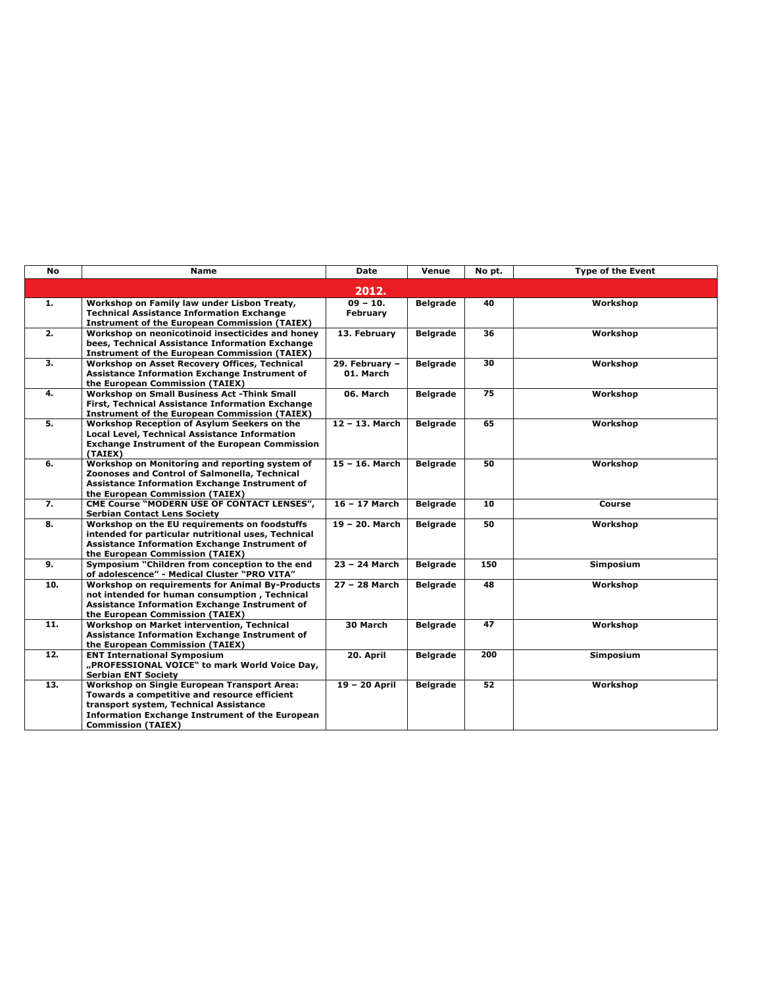| <b>No</b> | Name                                                                                                                                                                                                                         | Date                        | Venue           | No pt. | <b>Type of the Event</b> |
|-----------|------------------------------------------------------------------------------------------------------------------------------------------------------------------------------------------------------------------------------|-----------------------------|-----------------|--------|--------------------------|
|           |                                                                                                                                                                                                                              | 2012.                       |                 |        |                          |
| 1.        | Workshop on Family law under Lisbon Treaty,<br><b>Technical Assistance Information Exchange</b><br><b>Instrument of the European Commission (TAIEX)</b>                                                                      | $09 - 10.$<br>February      | <b>Belgrade</b> | 40     | Workshop                 |
| 2.        | Workshop on neonicotinoid insecticides and honey<br>bees, Technical Assistance Information Exchange<br><b>Instrument of the European Commission (TAIEX)</b>                                                                  | 13. February                | <b>Belgrade</b> | 36     | Workshop                 |
| 3.        | Workshop on Asset Recovery Offices, Technical<br>Assistance Information Exchange Instrument of<br>the European Commission (TAIEX)                                                                                            | 29. February -<br>01. March | <b>Belgrade</b> | 30     | Workshop                 |
| 4.        | <b>Workshop on Small Business Act -Think Small</b><br>First, Technical Assistance Information Exchange<br><b>Instrument of the European Commission (TAIEX)</b>                                                               | 06. March                   | <b>Belgrade</b> | 75     | Workshop                 |
| 5.        | Workshop Reception of Asylum Seekers on the<br><b>Local Level, Technical Assistance Information</b><br><b>Exchange Instrument of the European Commission</b><br>(TAIEX)                                                      | 12 - 13. March              | <b>Belgrade</b> | 65     | Workshop                 |
| 6.        | Workshop on Monitoring and reporting system of<br>Zoonoses and Control of Salmonella, Technical<br>Assistance Information Exchange Instrument of<br>the European Commission (TAIEX)                                          | 15 - 16. March              | <b>Belgrade</b> | 50     | Workshop                 |
| 7.        | CME Course "MODERN USE OF CONTACT LENSES",<br><b>Serbian Contact Lens Society</b>                                                                                                                                            | 16 - 17 March               | <b>Belgrade</b> | 10     | Course                   |
| 8.        | Workshop on the EU requirements on foodstuffs<br>intended for particular nutritional uses. Technical<br>Assistance Information Exchange Instrument of<br>the European Commission (TAIEX)                                     | 19 - 20. March              | <b>Belgrade</b> | 50     | Workshop                 |
| 9.        | Symposium "Children from conception to the end<br>of adolescence" - Medical Cluster "PRO VITA"                                                                                                                               | 23 - 24 March               | <b>Belgrade</b> | 150    | <b>Simposium</b>         |
| 10.       | Workshop on requirements for Animal By-Products<br>not intended for human consumption, Technical<br>Assistance Information Exchange Instrument of<br>the European Commission (TAIEX)                                         | 27 - 28 March               | <b>Belgrade</b> | 48     | Workshop                 |
| 11.       | Workshop on Market intervention, Technical<br>Assistance Information Exchange Instrument of<br>the European Commission (TAIEX)                                                                                               | 30 March                    | <b>Belgrade</b> | 47     | Workshop                 |
| 12.       | <b>ENT International Symposium</b><br>"PROFESSIONAL VOICE" to mark World Voice Day,<br><b>Serbian ENT Society</b>                                                                                                            | 20. April                   | <b>Belgrade</b> | 200    | <b>Simposium</b>         |
| 13.       | Workshop on Single European Transport Area:<br>Towards a competitive and resource efficient<br>transport system, Technical Assistance<br><b>Information Exchange Instrument of the European</b><br><b>Commission (TAIEX)</b> | 19 - 20 April               | <b>Belgrade</b> | 52     | Workshop                 |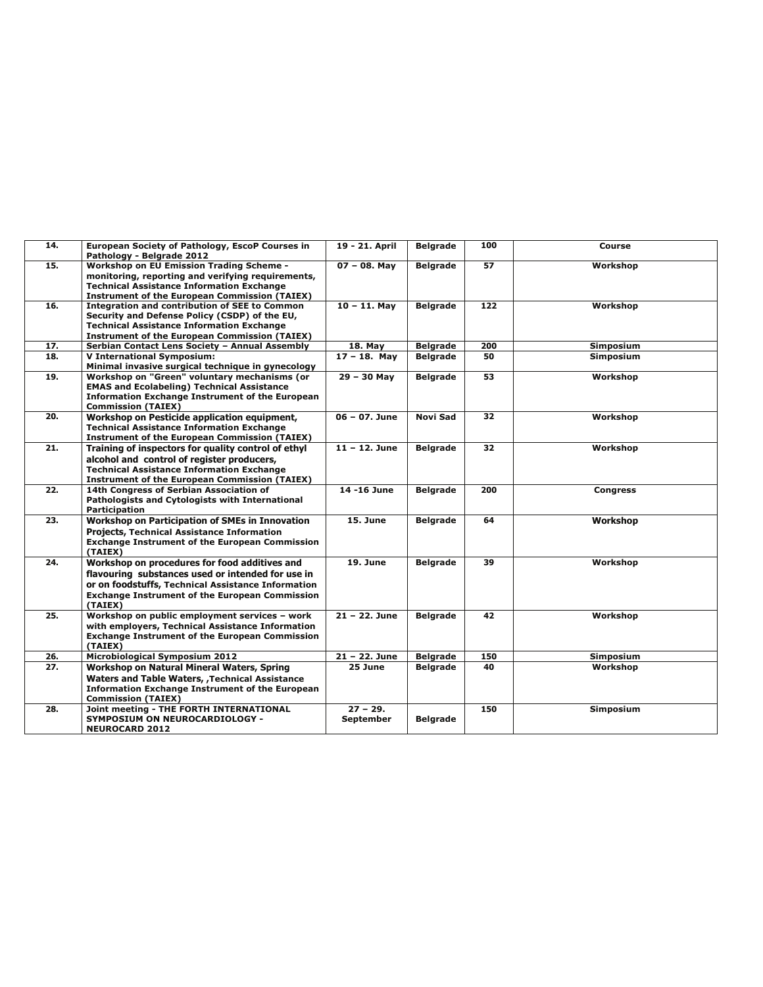| 14. | European Society of Pathology, EscoP Courses in<br>Pathology - Belgrade 2012                                                                                                                                                 | 19 - 21. April          | <b>Belgrade</b> | 100 | Course           |
|-----|------------------------------------------------------------------------------------------------------------------------------------------------------------------------------------------------------------------------------|-------------------------|-----------------|-----|------------------|
| 15. | <b>Workshop on EU Emission Trading Scheme -</b><br>monitoring, reporting and verifying requirements,<br><b>Technical Assistance Information Exchange</b><br><b>Instrument of the European Commission (TAIEX)</b>             | $07 - 08.$ May          | <b>Belgrade</b> | 57  | Workshop         |
| 16. | <b>Integration and contribution of SEE to Common</b><br>Security and Defense Policy (CSDP) of the EU,<br><b>Technical Assistance Information Exchange</b><br><b>Instrument of the European Commission (TAIEX)</b>            | $10 - 11$ . Mav         | <b>Belgrade</b> | 122 | Workshop         |
| 17. | Serbian Contact Lens Society - Annual Assembly                                                                                                                                                                               | 18. May                 | <b>Belgrade</b> | 200 | Simposium        |
| 18. | <b>V International Symposium:</b><br>Minimal invasive surgical technique in gynecology                                                                                                                                       | $17 - 18$ . May         | <b>Belgrade</b> | 50  | Simposium        |
| 19. | Workshop on "Green" voluntary mechanisms (or<br><b>EMAS and Ecolabeling) Technical Assistance</b><br><b>Information Exchange Instrument of the European</b><br><b>Commission (TAIEX)</b>                                     | $29 - 30$ May           | <b>Belgrade</b> | 53  | Workshop         |
| 20. | Workshop on Pesticide application equipment,<br><b>Technical Assistance Information Exchange</b><br><b>Instrument of the European Commission (TAIEX)</b>                                                                     | 06 - 07. June           | Novi Sad        | 32  | Workshop         |
| 21. | Training of inspectors for quality control of ethyl<br>alcohol and control of register producers,<br><b>Technical Assistance Information Exchange</b><br><b>Instrument of the European Commission (TAIEX)</b>                | $11 - 12$ . June        | <b>Belgrade</b> | 32  | Workshop         |
| 22. | 14th Congress of Serbian Association of<br>Pathologists and Cytologists with International<br><b>Participation</b>                                                                                                           | 14 -16 June             | <b>Belgrade</b> | 200 | <b>Congress</b>  |
| 23. | <b>Workshop on Participation of SMEs in Innovation</b><br><b>Projects, Technical Assistance Information</b><br><b>Exchange Instrument of the European Commission</b><br>(TAIEX)                                              | <b>15. June</b>         | <b>Belgrade</b> | 64  | Workshop         |
| 24. | Workshop on procedures for food additives and<br>flavouring substances used or intended for use in<br>or on foodstuffs, Technical Assistance Information<br><b>Exchange Instrument of the European Commission</b><br>(TAIEX) | <b>19. June</b>         | <b>Belgrade</b> | 39  | Workshop         |
| 25. | Workshop on public employment services - work<br>with employers, Technical Assistance Information<br><b>Exchange Instrument of the European Commission</b><br>(TAIEX)                                                        | $21 - 22$ . June        | <b>Belgrade</b> | 42  | Workshop         |
| 26. | <b>Microbiological Symposium 2012</b>                                                                                                                                                                                        | $21 - 22.$ June         | <b>Belgrade</b> | 150 | <b>Simposium</b> |
| 27. | Workshop on Natural Mineral Waters, Spring                                                                                                                                                                                   | 25 June                 | <b>Belgrade</b> | 40  | Workshop         |
|     | <b>Waters and Table Waters, , Technical Assistance</b><br><b>Information Exchange Instrument of the European</b><br><b>Commission (TAIEX)</b>                                                                                |                         |                 |     |                  |
| 28. | Joint meeting - THE FORTH INTERNATIONAL<br><b>SYMPOSIUM ON NEUROCARDIOLOGY -</b><br><b>NEUROCARD 2012</b>                                                                                                                    | $27 - 29.$<br>September | <b>Belgrade</b> | 150 | Simposium        |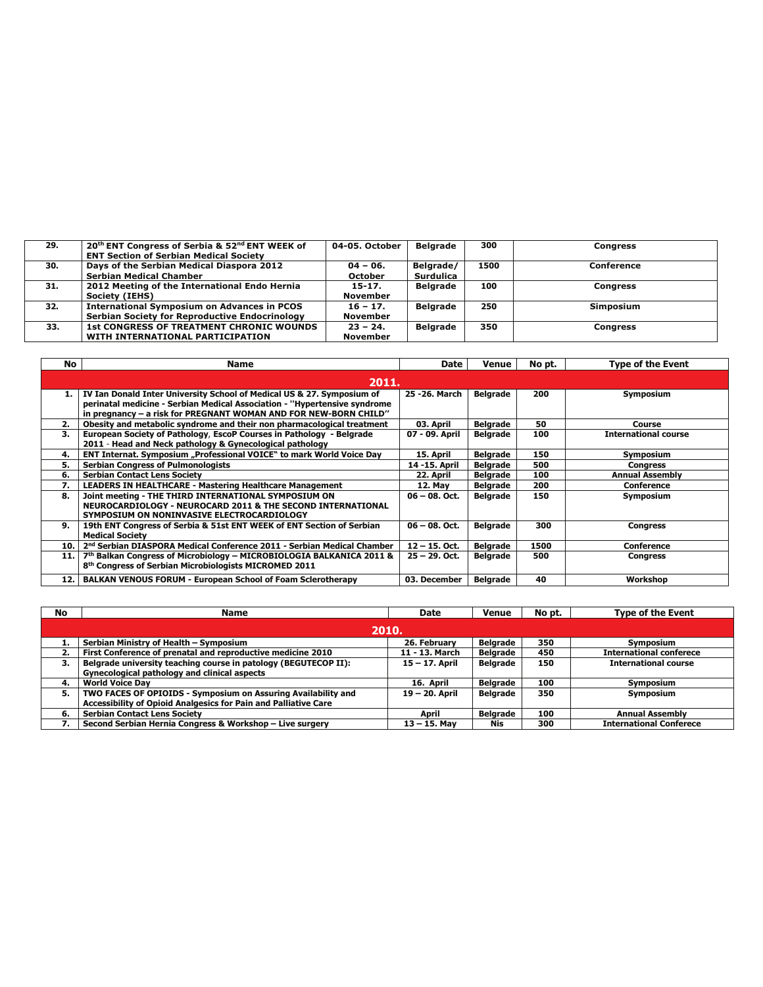| 29. | 20th ENT Congress of Serbia & 52nd ENT WEEK of     | 04-05. October  | <b>Belgrade</b> | 300  | <b>Congress</b> |
|-----|----------------------------------------------------|-----------------|-----------------|------|-----------------|
|     | <b>ENT Section of Serbian Medical Society</b>      |                 |                 |      |                 |
| 30. | Days of the Serbian Medical Diaspora 2012          | $04 - 06.$      | Belgrade/       | 1500 | Conference      |
|     | <b>Serbian Medical Chamber</b>                     | <b>October</b>  | Surdulica       |      |                 |
| 31. | 2012 Meeting of the International Endo Hernia      | $15 - 17.$      | <b>Belarade</b> | 100  | <b>Congress</b> |
|     | Society (IEHS)                                     | November        |                 |      |                 |
| 32. | <b>International Symposium on Advances in PCOS</b> | $16 - 17.$      | <b>Belarade</b> | 250  | Simposium       |
|     | Serbian Society for Reproductive Endocrinology     | November        |                 |      |                 |
| 33. | <b>1st CONGRESS OF TREATMENT CHRONIC WOUNDS</b>    | $23 - 24.$      | <b>Belarade</b> | 350  | <b>Congress</b> |
|     | WITH INTERNATIONAL PARTICIPATION                   | <b>November</b> |                 |      |                 |

| No   | Name                                                                                                                                                                                                                    | Date             | Venue           | No pt. | <b>Type of the Event</b>    |
|------|-------------------------------------------------------------------------------------------------------------------------------------------------------------------------------------------------------------------------|------------------|-----------------|--------|-----------------------------|
|      | 2011. .                                                                                                                                                                                                                 |                  |                 |        |                             |
| 1.   | IV Ian Donald Inter University School of Medical US & 27. Symposium of<br>perinatal medicine - Serbian Medical Association - "Hypertensive syndrome<br>in pregnancy - a risk for PREGNANT WOMAN AND FOR NEW-BORN CHILD" | 25 - 26. March   | <b>Belgrade</b> | 200    | Symposium                   |
| 2.   | Obesity and metabolic syndrome and their non pharmacological treatment                                                                                                                                                  | 03. April        | <b>Belgrade</b> | 50     | Course                      |
| З.   | European Society of Pathology, EscoP Courses in Pathology - Belgrade<br>2011 - Head and Neck pathology & Gynecological pathology                                                                                        | 07 - 09. April   | <b>Belgrade</b> | 100    | <b>International course</b> |
| 4.   | ENT Internat. Symposium "Professional VOICE" to mark World Voice Day                                                                                                                                                    | 15. April        | <b>Belgrade</b> | 150    | Symposium                   |
| 5.   | <b>Serbian Congress of Pulmonologists</b>                                                                                                                                                                               | 14 -15. April    | <b>Belgrade</b> | 500    | <b>Congress</b>             |
| 6.   | <b>Serbian Contact Lens Society</b>                                                                                                                                                                                     | 22. April        | <b>Belgrade</b> | 100    | <b>Annual Assembly</b>      |
|      | <b>LEADERS IN HEALTHCARE - Mastering Healthcare Management</b>                                                                                                                                                          | 12. May          | <b>Belgrade</b> | 200    | Conference                  |
| 8.   | Joint meeting - THE THIRD INTERNATIONAL SYMPOSIUM ON<br>NEUROCARDIOLOGY - NEUROCARD 2011 & THE SECOND INTERNATIONAL<br>SYMPOSIUM ON NONINVASIVE ELECTROCARDIOLOGY                                                       | $06 - 08$ , Oct. | <b>Belgrade</b> | 150    | Symposium                   |
| 9.   | 19th ENT Congress of Serbia & 51st ENT WEEK of ENT Section of Serbian<br><b>Medical Society</b>                                                                                                                         | $06 - 08$ , Oct. | <b>Belgrade</b> | 300    | <b>Congress</b>             |
| 10.  | 2nd Serbian DIASPORA Medical Conference 2011 - Serbian Medical Chamber                                                                                                                                                  | $12 - 15$ . Oct. | <b>Belgrade</b> | 1500   | Conference                  |
| 11.1 | 7th Balkan Congress of Microbiology – MICROBIOLOGIA BALKANICA 2011 &<br>8 <sup>th</sup> Congress of Serbian Microbiologists MICROMED 2011                                                                               | $25 - 29.$ Oct.  | <b>Belgrade</b> | 500    | <b>Congress</b>             |
| 12.  | <b>BALKAN VENOUS FORUM - European School of Foam Sclerotherapy</b>                                                                                                                                                      | 03. December     | <b>Belgrade</b> | 40     | Workshop                    |

| <b>No</b> | <b>Name</b>                                                     | Date            | <b>Venue</b>    | No pt. | <b>Type of the Event</b>       |  |  |  |
|-----------|-----------------------------------------------------------------|-----------------|-----------------|--------|--------------------------------|--|--|--|
|           | 2010.                                                           |                 |                 |        |                                |  |  |  |
|           | Serbian Ministry of Health - Symposium                          | 26. February    | <b>Belgrade</b> | 350    | Symposium                      |  |  |  |
|           | First Conference of prenatal and reproductive medicine 2010     | 11 - 13. March  | <b>Belgrade</b> | 450    | <b>International conferece</b> |  |  |  |
| 3.        | Belgrade university teaching course in patology (BEGUTECOP II): | 15 – 17. April  | <b>Belgrade</b> | 150    | <b>International course</b>    |  |  |  |
|           | Gynecological pathology and clinical aspects                    |                 |                 |        |                                |  |  |  |
| 4.        | <b>World Voice Dav</b>                                          | 16. April       | Belgrade        | 100    | Symposium                      |  |  |  |
| 5.        | TWO FACES OF OPIOIDS - Symposium on Assuring Availability and   | 19 – 20. April  | <b>Belgrade</b> | 350    | <b>Symposium</b>               |  |  |  |
|           | Accessibility of Opioid Analgesics for Pain and Palliative Care |                 |                 |        |                                |  |  |  |
| 6.        | <b>Serbian Contact Lens Society</b>                             | April           | <b>Belarade</b> | 100    | <b>Annual Assembly</b>         |  |  |  |
|           | Second Serbian Hernia Congress & Workshop - Live surgery        | $13 - 15$ . Mav | Nis             | 300    | <b>International Conferece</b> |  |  |  |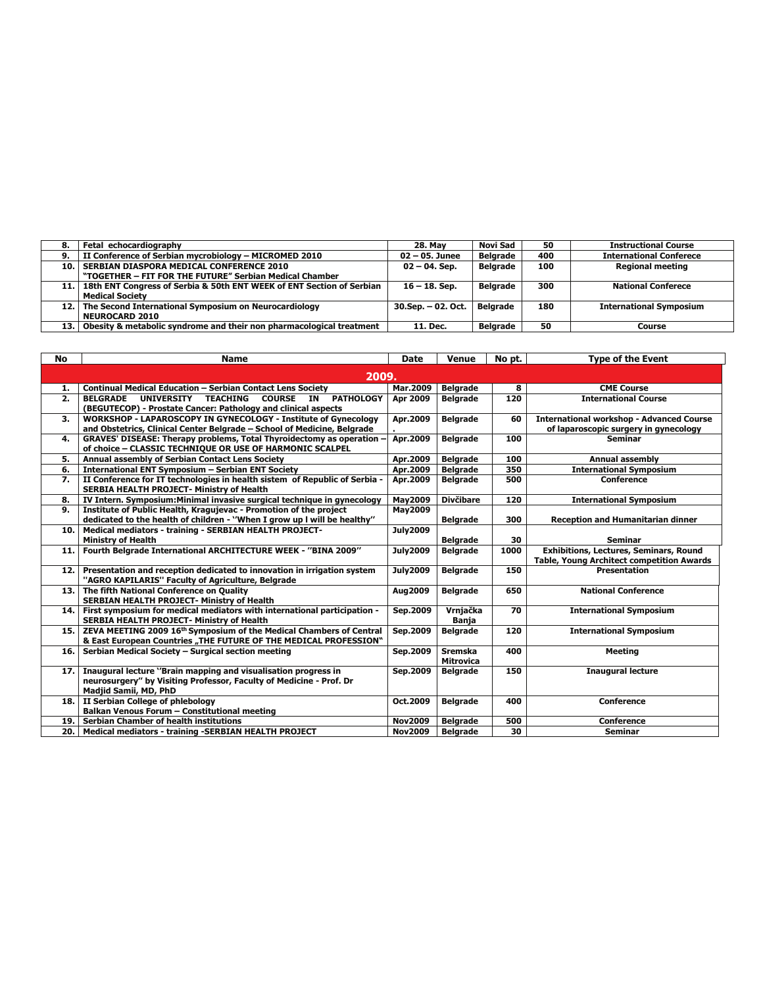| Fetal echocardiography<br><b>28. May</b><br>8.                                                    | Novi Sad<br>50         | <b>Instructional Course</b>    |
|---------------------------------------------------------------------------------------------------|------------------------|--------------------------------|
| II Conference of Serbian mycrobiology - MICROMED 2010<br>$02 - 05$ . Junee<br>9.                  | <b>Belgrade</b><br>400 | <b>International Conferece</b> |
| <b>SERBIAN DIASPORA MEDICAL CONFERENCE 2010</b><br>10.1<br>$02 - 04$ . Sep.                       | <b>Belgrade</b><br>100 | <b>Regional meeting</b>        |
| "TOGETHER - FIT FOR THE FUTURE" Serbian Medical Chamber                                           |                        |                                |
| 18th ENT Congress of Serbia & 50th ENT WEEK of ENT Section of Serbian<br>$16 - 18$ . Sep.<br>11.1 | Belarade<br>300        | <b>National Conferece</b>      |
| <b>Medical Society</b>                                                                            |                        |                                |
| The Second International Symposium on Neurocardiology<br>30.Sep. - 02. Oct.<br>12.1               | Belarade<br>180        | <b>International Symposium</b> |
| <b>NEUROCARD 2010</b>                                                                             |                        |                                |
| Obesity & metabolic syndrome and their non pharmacological treatment<br>13.1<br>11. Dec.          | Belgrade<br>50         | Course                         |

| No       | <b>Name</b>                                                                                                                                            | <b>Date</b>     | <b>Venue</b>                       | No pt. | <b>Type of the Event</b>                         |
|----------|--------------------------------------------------------------------------------------------------------------------------------------------------------|-----------------|------------------------------------|--------|--------------------------------------------------|
|          | 2009.                                                                                                                                                  |                 |                                    |        |                                                  |
|          |                                                                                                                                                        | Mar.2009        |                                    | 8      |                                                  |
| 1.<br>2. | <b>Continual Medical Education - Serbian Contact Lens Society</b><br><b>BELGRADE</b><br>UNIVERSITY TEACHING<br><b>COURSE</b><br><b>PATHOLOGY</b><br>IN | <b>Apr 2009</b> | <b>Belgrade</b><br><b>Belgrade</b> | 120    | <b>CME Course</b><br><b>International Course</b> |
|          | (BEGUTECOP) - Prostate Cancer: Pathology and clinical aspects                                                                                          |                 |                                    |        |                                                  |
| 3.       | <b>WORKSHOP - LAPAROSCOPY IN GYNECOLOGY - Institute of Gynecology</b>                                                                                  | Apr.2009        | <b>Belgrade</b>                    | 60     | <b>International workshop - Advanced Course</b>  |
|          | and Obstetrics, Clinical Center Belgrade - School of Medicine, Belgrade                                                                                |                 |                                    |        | of laparoscopic surgery in gynecology            |
| 4.       | <b>GRAVES' DISEASE: Therapy problems, Total Thyroidectomy as operation</b><br>of choice - CLASSIC TECHNIQUE OR USE OF HARMONIC SCALPEL                 | Apr.2009        | <b>Belgrade</b>                    | 100    | <b>Seminar</b>                                   |
| 5.       | Annual assembly of Serbian Contact Lens Society                                                                                                        | Apr.2009        | <b>Belgrade</b>                    | 100    | Annual assembly                                  |
| 6.       | International ENT Symposium - Serbian ENT Society                                                                                                      | Apr.2009        | <b>Belgrade</b>                    | 350    | <b>International Symposium</b>                   |
| 7.       | II Conference for IT technologies in health sistem of Republic of Serbia -<br><b>SERBIA HEALTH PROJECT- Ministry of Health</b>                         | Apr.2009        | <b>Belgrade</b>                    | 500    | <b>Conference</b>                                |
| 8.       | IV Intern. Symposium: Minimal invasive surgical technique in gynecology                                                                                | <b>May2009</b>  | <b>Divčibare</b>                   | 120    | <b>International Symposium</b>                   |
| 9.       | Institute of Public Health, Kragujevac - Promotion of the project                                                                                      | <b>May2009</b>  |                                    |        |                                                  |
|          | dedicated to the health of children - "When I grow up I will be healthy"                                                                               |                 | <b>Belgrade</b>                    | 300    | <b>Reception and Humanitarian dinner</b>         |
| 10.      | Medical mediators - training - SERBIAN HEALTH PROJECT-                                                                                                 | <b>July2009</b> |                                    |        |                                                  |
|          | <b>Ministry of Health</b>                                                                                                                              |                 | <b>Belgrade</b>                    | 30     | <b>Seminar</b>                                   |
| 11.      | Fourth Belgrade International ARCHITECTURE WEEK - "BINA 2009"                                                                                          | <b>July2009</b> | <b>Belgrade</b>                    | 1000   | <b>Exhibitions, Lectures, Seminars, Round</b>    |
|          |                                                                                                                                                        |                 |                                    |        | <b>Table, Young Architect competition Awards</b> |
| 12.      | Presentation and reception dedicated to innovation in irrigation system<br>"AGRO KAPILARIS" Faculty of Agriculture, Belgrade                           | <b>July2009</b> | <b>Belgrade</b>                    | 150    | <b>Presentation</b>                              |
| 13.      | The fifth National Conference on Quality<br><b>SERBIAN HEALTH PROJECT- Ministry of Health</b>                                                          | Aug2009         | <b>Belgrade</b>                    | 650    | <b>National Conference</b>                       |
| 14.      | First symposium for medical mediators with international participation -                                                                               | Sep.2009        | Vrniačka                           | 70     | <b>International Symposium</b>                   |
|          | <b>SERBIA HEALTH PROJECT- Ministry of Health</b><br>ZEVA MEETING 2009 16 <sup>th</sup> Symposium of the Medical Chambers of Central                    |                 | <b>Banja</b>                       | 120    |                                                  |
| 15.      | & East European Countries "THE FUTURE OF THE MEDICAL PROFESSION"                                                                                       | Sep.2009        | <b>Belgrade</b>                    |        | <b>International Symposium</b>                   |
| 16.      | Serbian Medical Society - Surgical section meeting                                                                                                     | Sep.2009        | <b>Sremska</b><br><b>Mitrovica</b> | 400    | <b>Meeting</b>                                   |
| 17.      | Inaugural lecture "Brain mapping and visualisation progress in                                                                                         | Sep.2009        | <b>Belgrade</b>                    | 150    | <b>Inaugural lecture</b>                         |
|          | neurosurgery" by Visiting Professor, Faculty of Medicine - Prof. Dr<br>Madjid Samii, MD, PhD                                                           |                 |                                    |        |                                                  |
| 18.      | II Serbian College of phlebology                                                                                                                       | Oct.2009        | <b>Belgrade</b>                    | 400    | Conference                                       |
|          | Balkan Venous Forum - Constitutional meeting                                                                                                           |                 |                                    |        |                                                  |
| 19.      | <b>Serbian Chamber of health institutions</b>                                                                                                          | <b>Nov2009</b>  | <b>Belgrade</b>                    | 500    | <b>Conference</b>                                |
| 20.      | Medical mediators - training -SERBIAN HEALTH PROJECT                                                                                                   | <b>Nov2009</b>  | <b>Belarade</b>                    | 30     | <b>Seminar</b>                                   |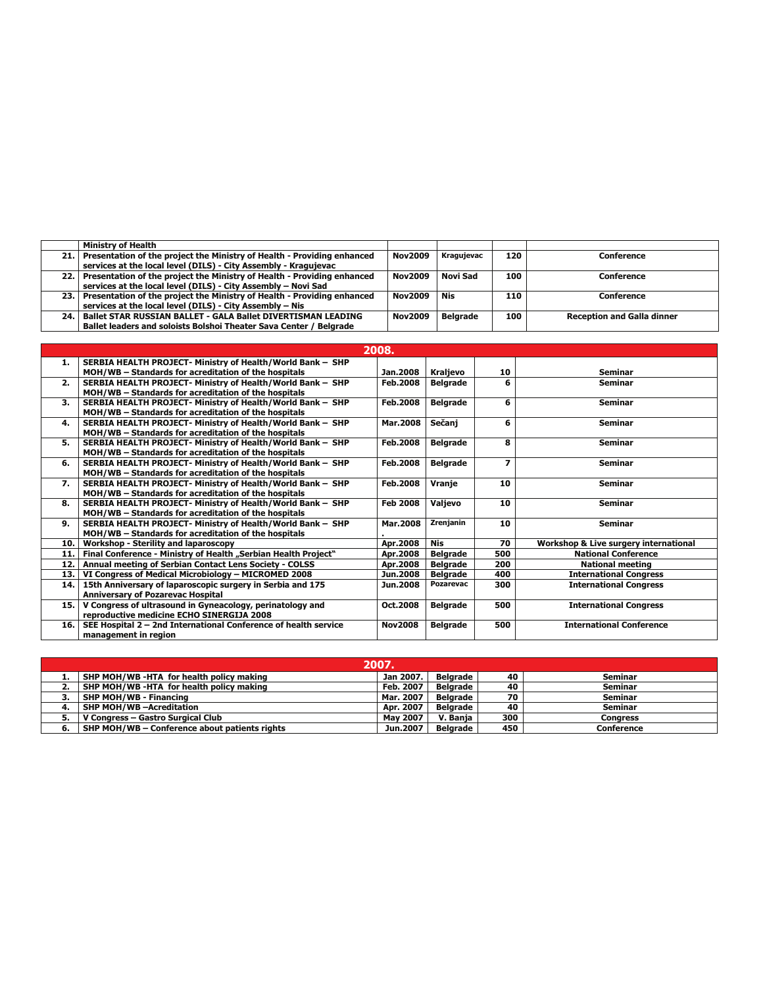|      | Ministry of Health                                                      |                |                 |     |                                   |
|------|-------------------------------------------------------------------------|----------------|-----------------|-----|-----------------------------------|
| 21.1 | Presentation of the project the Ministry of Health - Providing enhanced | <b>Nov2009</b> | Kragujevac      | 120 | Conference                        |
|      | services at the local level (DILS) - City Assembly - Kragujevac         |                |                 |     |                                   |
| 22.1 | Presentation of the project the Ministry of Health - Providing enhanced | <b>Nov2009</b> | Novi Sad        | 100 | <b>Conference</b>                 |
|      | services at the local level (DILS) - City Assembly - Novi Sad           |                |                 |     |                                   |
| 23.1 | Presentation of the project the Ministry of Health - Providing enhanced | <b>Nov2009</b> | <b>Nis</b>      | 110 | <b>Conference</b>                 |
|      | services at the local level (DILS) - City Assembly - Nis                |                |                 |     |                                   |
| 24.1 | <b>Ballet STAR RUSSIAN BALLET - GALA Ballet DIVERTISMAN LEADING</b>     | <b>Nov2009</b> | <b>Belarade</b> | 100 | <b>Reception and Galla dinner</b> |
|      | Ballet leaders and soloists Bolshoi Theater Sava Center / Belgrade      |                |                 |     |                                   |

|     | 2008.                                                           |                 |                  |                          |                                       |  |  |  |
|-----|-----------------------------------------------------------------|-----------------|------------------|--------------------------|---------------------------------------|--|--|--|
| 1.  | SERBIA HEALTH PROJECT- Ministry of Health/World Bank - SHP      |                 |                  |                          |                                       |  |  |  |
|     | MOH/WB - Standards for acreditation of the hospitals            | Jan.2008        | Kraljevo         | 10                       | Seminar                               |  |  |  |
| 2.  | SERBIA HEALTH PROJECT- Ministry of Health/World Bank - SHP      | Feb.2008        | <b>Belgrade</b>  | 6                        | Seminar                               |  |  |  |
|     | MOH/WB - Standards for acreditation of the hospitals            |                 |                  |                          |                                       |  |  |  |
| 3.  | SERBIA HEALTH PROJECT- Ministry of Health/World Bank - SHP      | Feb.2008        | <b>Belgrade</b>  | 6                        | Seminar                               |  |  |  |
|     | MOH/WB - Standards for acreditation of the hospitals            |                 |                  |                          |                                       |  |  |  |
| 4.  | SERBIA HEALTH PROJECT- Ministry of Health/World Bank - SHP      | <b>Mar.2008</b> | Sečanj           | 6                        | Seminar                               |  |  |  |
|     | MOH/WB - Standards for acreditation of the hospitals            |                 |                  |                          |                                       |  |  |  |
| 5.  | SERBIA HEALTH PROJECT- Ministry of Health/World Bank - SHP      | Feb.2008        | <b>Belgrade</b>  | 8                        | <b>Seminar</b>                        |  |  |  |
|     | MOH/WB - Standards for acreditation of the hospitals            |                 |                  |                          |                                       |  |  |  |
| 6.  | SERBIA HEALTH PROJECT- Ministry of Health/World Bank - SHP      | <b>Feb.2008</b> | <b>Belgrade</b>  | $\overline{\phantom{a}}$ | Seminar                               |  |  |  |
|     | MOH/WB - Standards for acreditation of the hospitals            |                 |                  |                          |                                       |  |  |  |
| 7.  | SERBIA HEALTH PROJECT- Ministry of Health/World Bank - SHP      | <b>Feb.2008</b> | <b>Vranie</b>    | 10                       | Seminar                               |  |  |  |
|     | MOH/WB - Standards for acreditation of the hospitals            |                 |                  |                          |                                       |  |  |  |
| 8.  | SERBIA HEALTH PROJECT- Ministry of Health/World Bank - SHP      | <b>Feb 2008</b> | Valjevo          | 10                       | Seminar                               |  |  |  |
|     | MOH/WB - Standards for acreditation of the hospitals            |                 |                  |                          |                                       |  |  |  |
| 9.  | SERBIA HEALTH PROJECT- Ministry of Health/World Bank - SHP      | <b>Mar.2008</b> | Zrenjanin        | 10                       | <b>Seminar</b>                        |  |  |  |
|     | MOH/WB - Standards for acreditation of the hospitals            |                 |                  |                          |                                       |  |  |  |
| 10. | <b>Workshop - Sterility and laparoscopy</b>                     | Apr.2008        | Nis              | 70                       | Workshop & Live surgery international |  |  |  |
| 11. | Final Conference - Ministry of Health "Serbian Health Project"  | Apr.2008        | <b>Belgrade</b>  | 500                      | <b>National Conference</b>            |  |  |  |
| 12. | Annual meeting of Serbian Contact Lens Society - COLSS          | Apr.2008        | <b>Belgrade</b>  | 200                      | <b>National meeting</b>               |  |  |  |
| 13. | VI Congress of Medical Microbiology - MICROMED 2008             | Jun.2008        | <b>Belgrade</b>  | 400                      | <b>International Congress</b>         |  |  |  |
| 14. | 15th Anniversary of laparoscopic surgery in Serbia and 175      | Jun.2008        | <b>Pozarevac</b> | 300                      | <b>International Congress</b>         |  |  |  |
|     | <b>Anniversary of Pozarevac Hospital</b>                        |                 |                  |                          |                                       |  |  |  |
| 15. | V Congress of ultrasound in Gyneacology, perinatology and       | Oct.2008        | <b>Belgrade</b>  | 500                      | <b>International Congress</b>         |  |  |  |
|     | reproductive medicine ECHO SINERGIJA 2008                       |                 |                  |                          |                                       |  |  |  |
| 16. | SEE Hospital 2 - 2nd International Conference of health service | <b>Nov2008</b>  | <b>Belgrade</b>  | 500                      | <b>International Conference</b>       |  |  |  |
|     | management in region                                            |                 |                  |                          |                                       |  |  |  |

| 2007.                                         |                 |                 |     |                   |  |  |  |  |  |
|-----------------------------------------------|-----------------|-----------------|-----|-------------------|--|--|--|--|--|
| SHP MOH/WB -HTA for health policy making      | Jan 2007.       | Belarade        | 40  | <b>Seminar</b>    |  |  |  |  |  |
| SHP MOH/WB -HTA for health policy making      | Feb. 2007       | <b>Belarade</b> | 40  | <b>Seminar</b>    |  |  |  |  |  |
| <b>SHP MOH/WB - Financing</b>                 | Mar. 2007       | Belarade        | 70  | <b>Seminar</b>    |  |  |  |  |  |
| SHP MOH/WB - Acreditation                     | Apr. 2007       | <b>Belarade</b> | 40  | <b>Seminar</b>    |  |  |  |  |  |
| V Congress - Gastro Surgical Club             | <b>May 2007</b> | V. Bania        | 300 | Conaress          |  |  |  |  |  |
| SHP MOH/WB - Conference about patients rights | Jun.2007        | <b>Belarade</b> | 450 | <b>Conference</b> |  |  |  |  |  |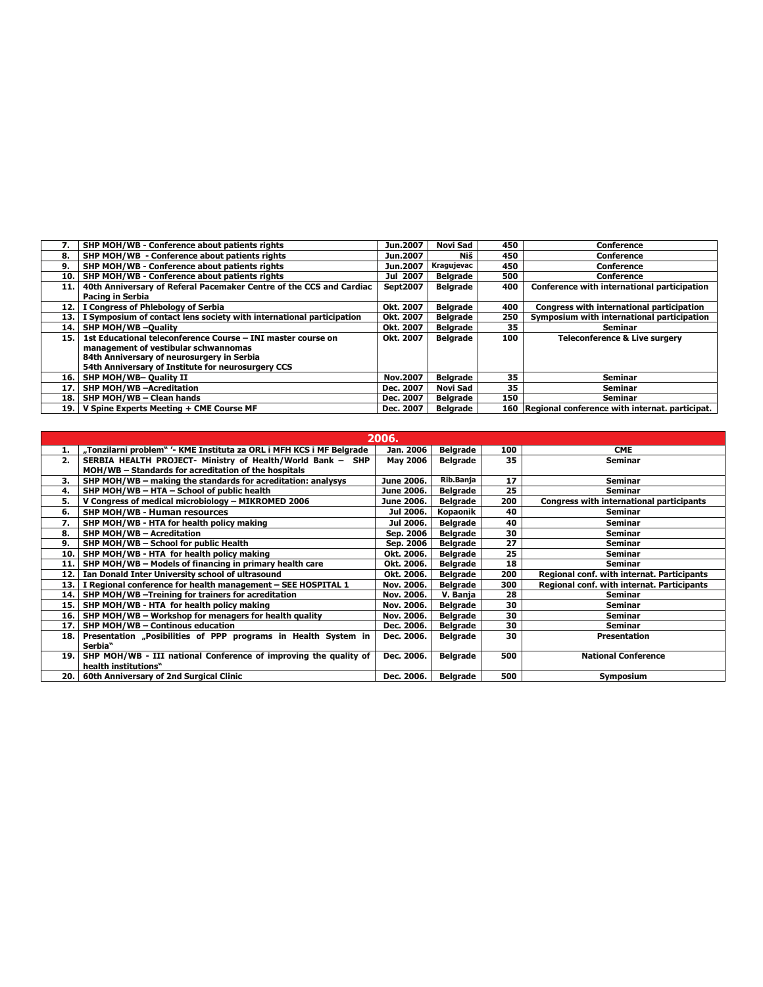| 7.   | SHP MOH/WB - Conference about patients rights                        | Jun.2007        | Novi Sad        | 450 | Conference                                         |
|------|----------------------------------------------------------------------|-----------------|-----------------|-----|----------------------------------------------------|
| 8.   | SHP MOH/WB - Conference about patients rights                        | Jun.2007        | Niš             | 450 | <b>Conference</b>                                  |
| 9.   | SHP MOH/WB - Conference about patients rights                        | Jun.2007        | Kragujevac      | 450 | <b>Conference</b>                                  |
| 10.  | SHP MOH/WB - Conference about patients rights                        | Jul 2007        | <b>Belgrade</b> | 500 | Conference                                         |
| 11.  | 40th Anniversary of Referal Pacemaker Centre of the CCS and Cardiac  | <b>Sept2007</b> | <b>Belgrade</b> | 400 | Conference with international participation        |
|      | Pacing in Serbia                                                     |                 |                 |     |                                                    |
| 12.1 | I Congress of Phlebology of Serbia                                   | Okt. 2007       | <b>Belgrade</b> | 400 | Congress with international participation          |
| 13.  | I Symposium of contact lens society with international participation | Okt. 2007       | <b>Belgrade</b> | 250 | Symposium with international participation         |
| 14.  | <b>SHP MOH/WB-Ouality</b>                                            | Okt. 2007       | <b>Belgrade</b> | 35  | Seminar                                            |
| 15.  | 1st Educational teleconference Course - INI master course on         | Okt. 2007       | <b>Belgrade</b> | 100 | <b>Teleconference &amp; Live surgery</b>           |
|      | management of vestibular schwannomas                                 |                 |                 |     |                                                    |
|      | 84th Anniversary of neurosurgery in Serbia                           |                 |                 |     |                                                    |
|      | 54th Anniversary of Institute for neurosurgery CCS                   |                 |                 |     |                                                    |
| 16.  | SHP MOH/WB- Quality II                                               | <b>Nov.2007</b> | <b>Belgrade</b> | 35  | <b>Seminar</b>                                     |
| 17.  | SHP MOH/WB-Acreditation                                              | Dec. 2007       | Novi Sad        | 35  | Seminar                                            |
| 18.  | SHP MOH/WB - Clean hands                                             | Dec. 2007       | <b>Belarade</b> | 150 | <b>Seminar</b>                                     |
| 19.  | V Spine Experts Meeting + CME Course MF                              | Dec. 2007       | <b>Belarade</b> |     | 160 Regional conference with internat. participat. |

|     | 2006.                                                                |                 |                 |     |                                                 |  |  |  |  |
|-----|----------------------------------------------------------------------|-----------------|-----------------|-----|-------------------------------------------------|--|--|--|--|
|     | "Tonzilarni problem" '- KME Instituta za ORL i MFH KCS i MF Belgrade | Jan. 2006       | <b>Belgrade</b> | 100 | <b>CME</b>                                      |  |  |  |  |
| 2.  | SERBIA HEALTH PROJECT- Ministry of Health/World Bank - SHP           | <b>May 2006</b> | <b>Belgrade</b> | 35  | <b>Seminar</b>                                  |  |  |  |  |
|     | MOH/WB - Standards for acreditation of the hospitals                 |                 |                 |     |                                                 |  |  |  |  |
| 3.  | SHP MOH/WB – making the standards for acreditation: analysys         | June 2006.      | Rib.Banja       | 17  | <b>Seminar</b>                                  |  |  |  |  |
| 4.  | SHP MOH/WB - HTA - School of public health                           | June 2006.      | <b>Belgrade</b> | 25  | <b>Seminar</b>                                  |  |  |  |  |
| 5.  | V Congress of medical microbiology - MIKROMED 2006                   | June 2006.      | <b>Belgrade</b> | 200 | <b>Congress with international participants</b> |  |  |  |  |
| 6.  | SHP MOH/WB - Human resources                                         | Jul 2006.       | Kopaonik        | 40  | <b>Seminar</b>                                  |  |  |  |  |
| 7.  | SHP MOH/WB - HTA for health policy making                            | Jul 2006.       | <b>Belgrade</b> | 40  | <b>Seminar</b>                                  |  |  |  |  |
| 8.  | SHP MOH/WB - Acreditation                                            | Sep. 2006       | <b>Belgrade</b> | 30  | <b>Seminar</b>                                  |  |  |  |  |
| 9.  | SHP MOH/WB - School for public Health                                | Sep. 2006       | <b>Belgrade</b> | 27  | <b>Seminar</b>                                  |  |  |  |  |
| 10. | SHP MOH/WB - HTA for health policy making                            | Okt. 2006.      | <b>Belgrade</b> | 25  | <b>Seminar</b>                                  |  |  |  |  |
| 11. | SHP MOH/WB - Models of financing in primary health care              | Okt. 2006.      | <b>Belgrade</b> | 18  | <b>Seminar</b>                                  |  |  |  |  |
| 12. | Ian Donald Inter University school of ultrasound                     | Okt. 2006.      | <b>Belgrade</b> | 200 | Regional conf. with internat. Participants      |  |  |  |  |
| 13. | I Regional conference for health management - SEE HOSPITAL 1         | Nov. 2006.      | <b>Belgrade</b> | 300 | Regional conf. with internat. Participants      |  |  |  |  |
| 14. | SHP MOH/WB-Treining for trainers for acreditation                    | Nov. 2006.      | V. Banja        | 28  | Seminar                                         |  |  |  |  |
| 15. | SHP MOH/WB - HTA for health policy making                            | Nov. 2006.      | <b>Belgrade</b> | 30  | <b>Seminar</b>                                  |  |  |  |  |
| 16. | SHP MOH/WB - Workshop for menagers for health quality                | Nov. 2006.      | <b>Belgrade</b> | 30  | Seminar                                         |  |  |  |  |
| 17. | SHP MOH/WB - Continous education                                     | Dec. 2006.      | <b>Belgrade</b> | 30  | Seminar                                         |  |  |  |  |
| 18. | Presentation "Posibilities of PPP programs in Health System in       | Dec. 2006.      | <b>Belgrade</b> | 30  | <b>Presentation</b>                             |  |  |  |  |
|     | Serbia"                                                              |                 |                 |     |                                                 |  |  |  |  |
| 19. | SHP MOH/WB - III national Conference of improving the quality of     | Dec. 2006.      | Belgrade        | 500 | <b>National Conference</b>                      |  |  |  |  |
|     | health institutions"                                                 |                 |                 |     |                                                 |  |  |  |  |
| 20. | 60th Anniversary of 2nd Surgical Clinic                              | Dec. 2006.      | Belgrade        | 500 | Symposium                                       |  |  |  |  |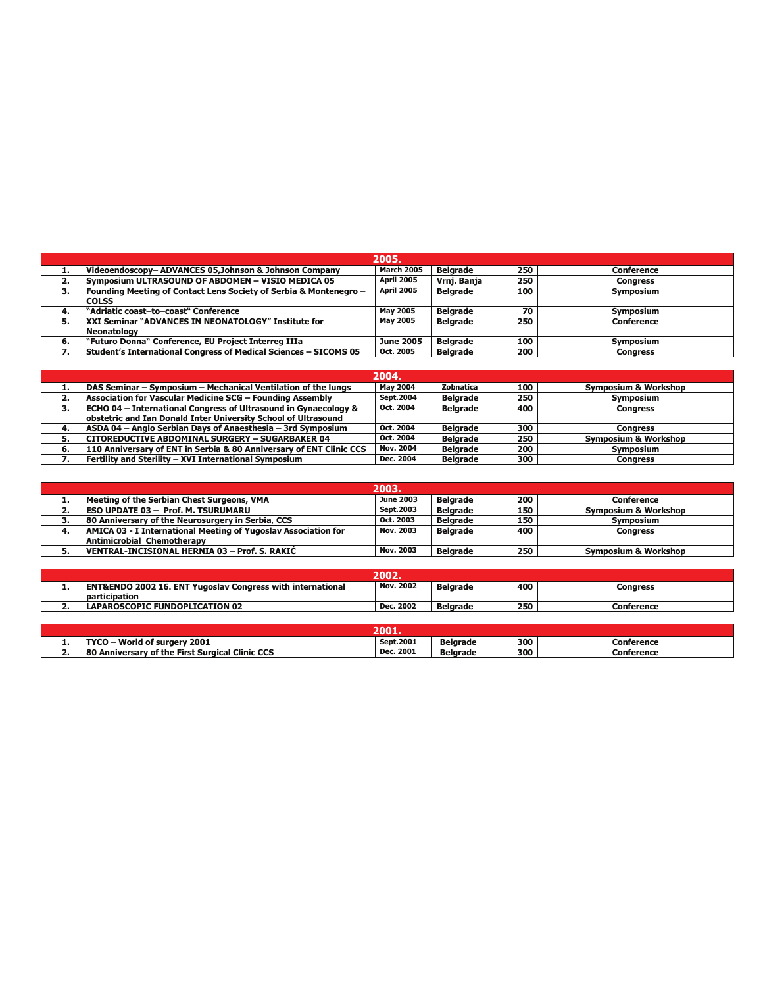|    | 2005.                                                                             |                   |                 |     |                 |  |  |  |  |  |
|----|-----------------------------------------------------------------------------------|-------------------|-----------------|-----|-----------------|--|--|--|--|--|
| л. | Videoendoscopy- ADVANCES 05.Johnson & Johnson Company                             | <b>March 2005</b> | <b>Belarade</b> | 250 | Conference      |  |  |  |  |  |
| 2. | Symposium ULTRASOUND OF ABDOMEN - VISIO MEDICA 05                                 | April 2005        | Vrnj. Banja     | 250 | <b>Congress</b> |  |  |  |  |  |
| 3. | Founding Meeting of Contact Lens Society of Serbia & Montenegro -<br><b>COLSS</b> | <b>April 2005</b> | <b>Belgrade</b> | 100 | Symposium       |  |  |  |  |  |
| 4. | "Adriatic coast-to-coast" Conference                                              | <b>May 2005</b>   | <b>Belarade</b> | 70  | Symposium       |  |  |  |  |  |
| 5. | XXI Seminar "ADVANCES IN NEONATOLOGY" Institute for<br>Neonatology                | <b>May 2005</b>   | <b>Belarade</b> | 250 | Conference      |  |  |  |  |  |
| 6. | "Futuro Donna" Conference, EU Project Interreg IIIa                               | <b>June 2005</b>  | <b>Belarade</b> | 100 | Symposium       |  |  |  |  |  |
|    | Student's International Congress of Medical Sciences - SICOMS 05                  | Oct. 2005         | <b>Belarade</b> | 200 | <b>Congress</b> |  |  |  |  |  |

|    | 2004.                                                               |                  |                 |     |                                 |  |  |  |  |  |
|----|---------------------------------------------------------------------|------------------|-----------------|-----|---------------------------------|--|--|--|--|--|
|    | DAS Seminar – Symposium – Mechanical Ventilation of the lungs       | <b>May 2004</b>  | Zobnatica       | 100 | <b>Symposium &amp; Workshop</b> |  |  |  |  |  |
| ۷. | Association for Vascular Medicine SCG - Founding Assembly           | <b>Sept.2004</b> | <b>Belarade</b> | 250 | <b>Symposium</b>                |  |  |  |  |  |
| 3. | ECHO 04 – International Congress of Ultrasound in Gynaecology &     | Oct. 2004        | <b>Belgrade</b> | 400 | <b>Congress</b>                 |  |  |  |  |  |
|    | obstetric and Ian Donald Inter University School of Ultrasound      |                  |                 |     |                                 |  |  |  |  |  |
| 4. | ASDA 04 - Anglo Serbian Days of Anaesthesia - 3rd Symposium         | Oct. 2004        | <b>Belarade</b> | 300 | <b>Congress</b>                 |  |  |  |  |  |
|    | <b>CITOREDUCTIVE ABDOMINAL SURGERY - SUGARBAKER 04</b>              | Oct. 2004        | <b>Belgrade</b> | 250 | <b>Symposium &amp; Workshop</b> |  |  |  |  |  |
| 6. | 110 Anniversary of ENT in Serbia & 80 Anniversary of ENT Clinic CCS | Nov. 2004        | <b>Belarade</b> | 200 | Symposium                       |  |  |  |  |  |
|    | Fertility and Sterility - XVI International Symposium               | Dec. 2004        | <b>Belgrade</b> | 300 | <b>Congress</b>                 |  |  |  |  |  |

|    | 2003.                                                          |                  |                 |     |                                 |  |  |  |  |  |
|----|----------------------------------------------------------------|------------------|-----------------|-----|---------------------------------|--|--|--|--|--|
|    | Meeting of the Serbian Chest Surgeons, VMA                     | <b>June 2003</b> | <b>Belarade</b> | 200 | <b>Conference</b>               |  |  |  |  |  |
|    | <b>ESO UPDATE 03 - Prof. M. TSURUMARU</b>                      | Sept. 2003       | <b>Belarade</b> | 150 | Symposium & Workshop            |  |  |  |  |  |
| э. | 80 Anniversary of the Neurosurgery in Serbia, CCS              | Oct. 2003        | <b>Belarade</b> | 150 | Symposium                       |  |  |  |  |  |
|    | AMICA 03 - I International Meeting of Yugoslav Association for | Nov. 2003        | <b>Belarade</b> | 400 | Congress                        |  |  |  |  |  |
|    | <b>Antimicrobial Chemotherapy</b>                              |                  |                 |     |                                 |  |  |  |  |  |
| э. | VENTRAL-INCISIONAL HERNIA 03 - Prof. S. RAKIC                  | Nov. 2003        | <b>Belarade</b> | 250 | <b>Symposium &amp; Workshop</b> |  |  |  |  |  |

| 2002. |                                                                                        |                  |                 |     |            |  |  |  |
|-------|----------------------------------------------------------------------------------------|------------------|-----------------|-----|------------|--|--|--|
| . .   | <b>ENT&amp;ENDO 2002 16. ENT Yugoslav Congress with international</b><br>participation | <b>Nov. 2002</b> | <b>Belarade</b> | 400 | Conaress   |  |  |  |
|       | <b>LAPAROSCOPIC FUNDOPLICATION 02</b>                                                  | Dec. 2002        | <b>Belarade</b> | 250 | Conference |  |  |  |

|     | מחל<br>ZUU L.                                      |            |                 |     |            |  |  |
|-----|----------------------------------------------------|------------|-----------------|-----|------------|--|--|
| . . | <b>TVCC</b><br>World of surgery<br>2001            | Sept. 2001 | <b>Belarade</b> | 300 | Conference |  |  |
| --  | Anniversary of the First Surgical Clinic CCS<br>80 | Dec. 2001  | <b>Belgrade</b> | 300 | Conference |  |  |